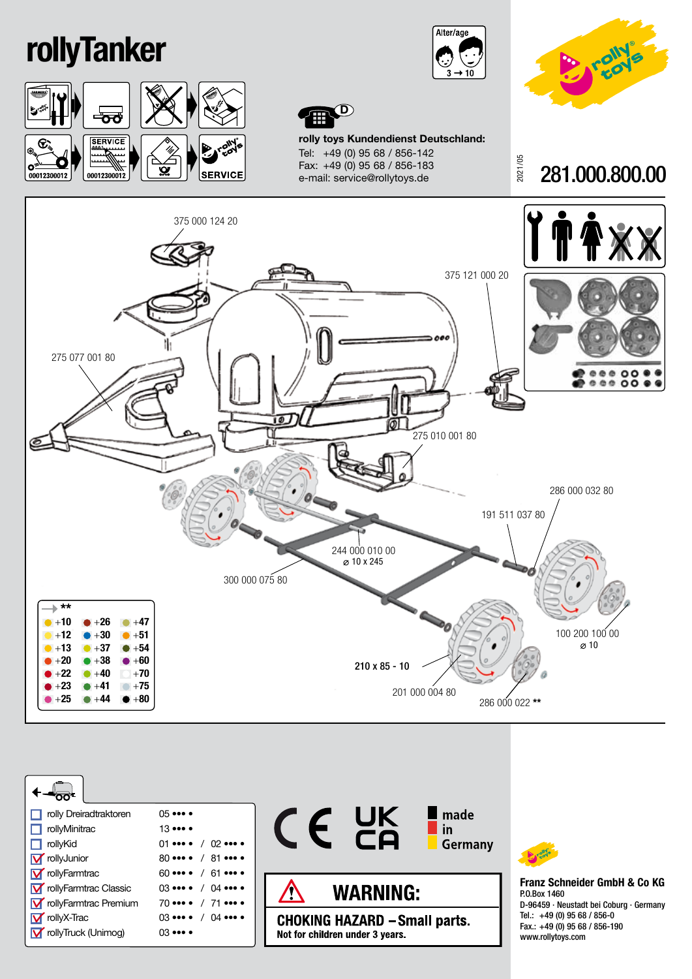## rollyTanker









rolly toys Kundendienst Deutschland: Tel: +49 (0) 95 68 / 856-142 Fax: +49 (0) 95 68 / 856-183 e-mail: service@rollytoys.de

2021/05 281.000.800.00